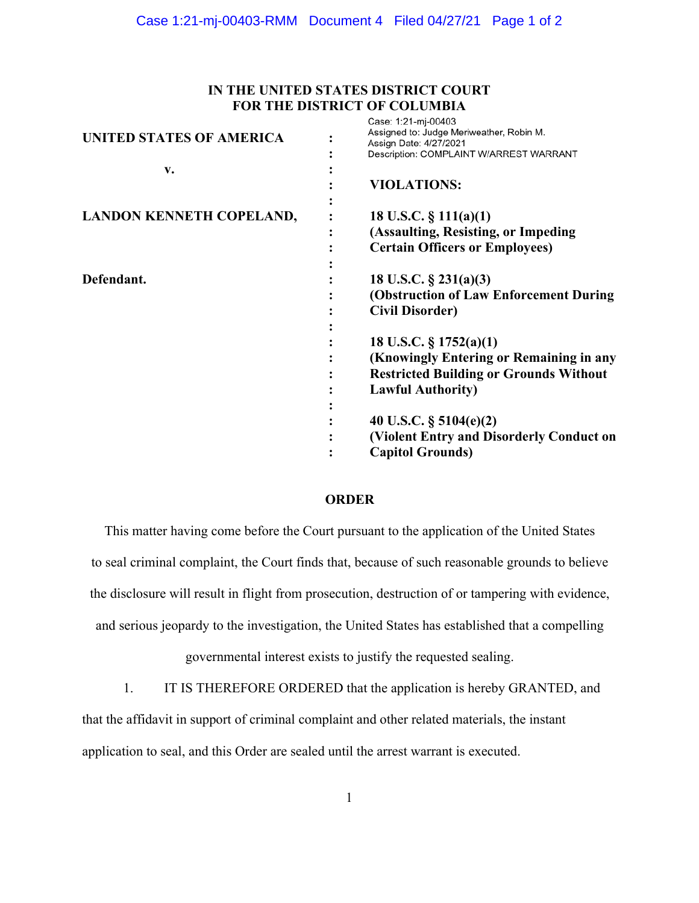## **IN THE UNITED STATES DISTRICT COURT FOR THE DISTRICT OF COLUMBIA**

| <b>UNITED STATES OF AMERICA</b> | <b>UGOU.</b> I.LI-III-UUTUJ<br>Assigned to: Judge Meriweather, Robin M.<br>Assign Date: 4/27/2021<br>Description: COMPLAINT W/ARREST WARRANT |
|---------------------------------|----------------------------------------------------------------------------------------------------------------------------------------------|
| v.                              |                                                                                                                                              |
|                                 | <b>VIOLATIONS:</b>                                                                                                                           |
|                                 |                                                                                                                                              |
| <b>LANDON KENNETH COPELAND,</b> | 18 U.S.C. $\S$ 111(a)(1)                                                                                                                     |
|                                 | (Assaulting, Resisting, or Impeding                                                                                                          |
|                                 | <b>Certain Officers or Employees)</b>                                                                                                        |
|                                 |                                                                                                                                              |
| Defendant.                      | 18 U.S.C. $\S$ 231(a)(3)                                                                                                                     |
|                                 | (Obstruction of Law Enforcement During)                                                                                                      |
|                                 | <b>Civil Disorder)</b>                                                                                                                       |
|                                 |                                                                                                                                              |
|                                 | 18 U.S.C. $\S 1752(a)(1)$                                                                                                                    |
|                                 | (Knowingly Entering or Remaining in any                                                                                                      |
|                                 | <b>Restricted Building or Grounds Without</b>                                                                                                |
|                                 | <b>Lawful Authority)</b>                                                                                                                     |
|                                 |                                                                                                                                              |
|                                 | 40 U.S.C. $\S$ 5104(e)(2)                                                                                                                    |
|                                 | (Violent Entry and Disorderly Conduct on                                                                                                     |
|                                 | <b>Capitol Grounds)</b>                                                                                                                      |
|                                 |                                                                                                                                              |

## **ORDER**

This matter having come before the Court pursuant to the application of the United States to seal criminal complaint, the Court finds that, because of such reasonable grounds to believe the disclosure will result in flight from prosecution, destruction of or tampering with evidence, and serious jeopardy to the investigation, the United States has established that a compelling

governmental interest exists to justify the requested sealing.

1. IT IS THEREFORE ORDERED that the application is hereby GRANTED, and

that the affidavit in support of criminal complaint and other related materials, the instant

application to seal, and this Order are sealed until the arrest warrant is executed.